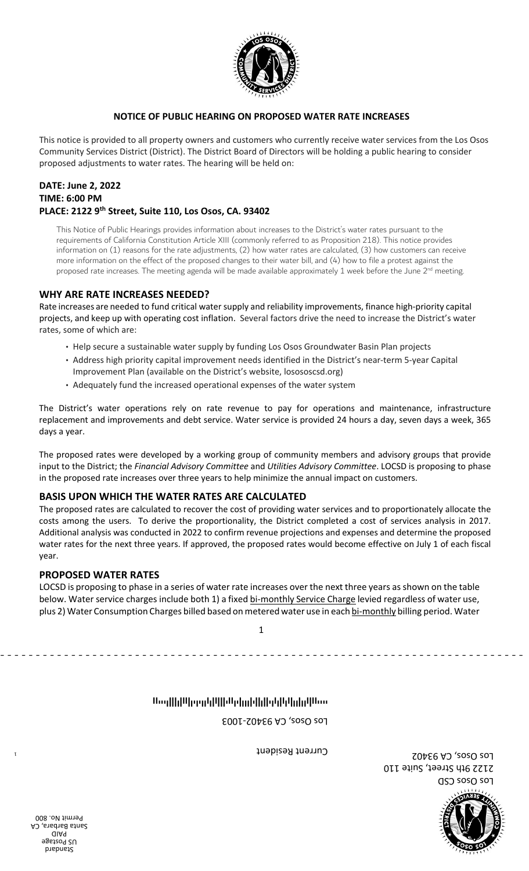

#### **NOTICE OF PUBLIC HEARING ON PROPOSED WATER RATE INCREASES**

This notice is provided to all property owners and customers who currently receive water services from the Los Osos Community Services District (District). The District Board of Directors will be holding a public hearing to consider proposed adjustments to water rates. The hearing will be held on:

# **DATE: June 2, 2022 TIME: 6:00 PM**

**PLACE: 2122 9th Street (Suite 110, Los Osos, CA. 93402**<br> **PLACE: 2122 9th Street (BITTLE TO THE PROPOSED WATER RATE IN**<br> **PLACE: 2122 9th Street (BITTLE TO THE PROPOSED WATER RATE IN**<br> **PLACE: 2122 9th Street, Suite 110,** This Notice of Public Hearings provides information about increases to the District's water rates pursuant to the requirements of California Constitution Article XIII (commonly referred to as Proposition 218). This notice provides information on (1) reasons for the rate adjustments, (2) how water rates are calculated, (3) how customers can receive more information on the effect of the proposed changes to their water bill, and (4) how to file a protest against the proposed rate increases. The meeting agenda will be made available approximately 1 week before the June  $2^{nd}$  meeting.

### **WHY ARE RATE INCREASES NEEDED?**

Rate increases are needed to fund critical water supply and reliability improvements, finance high-priority capital projects, and keep up with operating cost inflation. Several factors drive the need to increase the District's water rates, some of which are:

- Help secure a sustainable water supply by funding Los Osos Groundwater Basin Plan projects
- Address high priority capital improvement needs identified in the District's near term 5-year Capital Improvement Plan (available on the District's website, losososcsd.org)
- Adequately fund the increased operational expenses of the water system

The District's water operations rely on rate revenue to pay for operations and maintenance, infrastructure replacement and improvements and debt service. Water service is provided 24 hours a day, seven days a week, 365 days a year.

The proposed rates were developed by a working group of community members and advisory groups that provide input to the District; the *Financial Advisory Committee* and *Utilities Advisory Committee*. LOCSD is proposing to phase in the proposed rate increases over three years to help minimize the annual impact on customers.

## **BASIS UPON WHICH THE WATER ATES ARE CALCULATED**

The proposed rates are calculated to recover the cost of providing water services and to proportionately allocate the costs among the users. To derive the proportionality, the District completed a cost of services analysis in 2017. Additional analysis was conducted in 2022 to confirm revenue projections and expenses and determine the proposed water rates for the next three years. If approved, the proposed rates would become effective on July 1 of each fiscal year. Financist or Clientars in the teach colonical to the section of  $C$  is too set *- case of the section* of the section of the section of the section of the section of the section of the section of the section of the secti

#### **PROPOSED WATER RATES**

LOCSD is proposing to phase in a series of water rate increases over the next three years as shown on the table below. Water service charges include both 1) a fixed bi-monthly Service Charge levied regardless of water use, plus 2) Water Consumption Charges billed based on metered water use in each bi-monthly billing period. Water

# Thoddblideedalfilleledadelidleledationidlene

Los Osos, CA 93402-1003

Current Resident

Los Osos CSD 2122 9th Street, Suite 110 Los Osos, CA 93402



Standard US Postage PAID Santa Barbara, CA Permit No. 800